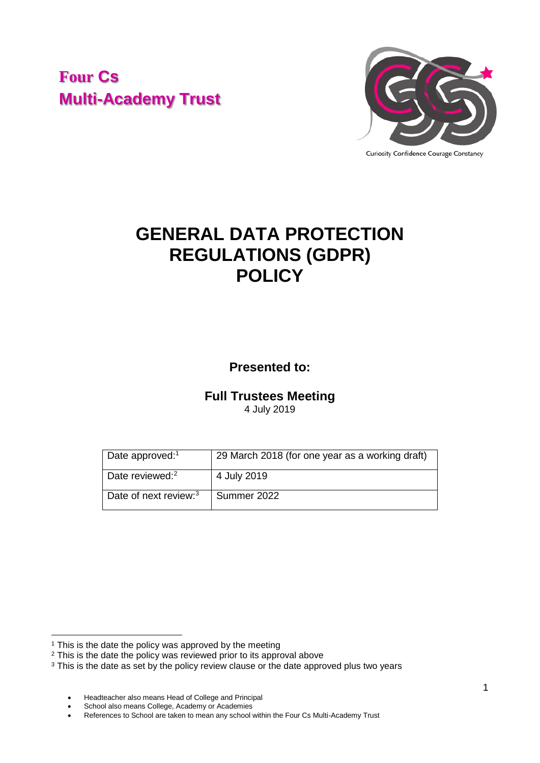**Four Cs Multi-Academy Trust**



# **GENERAL DATA PROTECTION REGULATIONS (GDPR) POLICY**

**Presented to:**

**Full Trustees Meeting**

4 July 2019

| Date approved: <sup>1</sup>       | 29 March 2018 (for one year as a working draft) |
|-----------------------------------|-------------------------------------------------|
| Date reviewed: <sup>2</sup>       | 4 July 2019                                     |
| Date of next review: <sup>3</sup> | Summer 2022                                     |

-

<sup>&</sup>lt;sup>1</sup> This is the date the policy was approved by the meeting

<sup>&</sup>lt;sup>2</sup> This is the date the policy was reviewed prior to its approval above

<sup>&</sup>lt;sup>3</sup> This is the date as set by the policy review clause or the date approved plus two years

Headteacher also means Head of College and Principal

School also means College, Academy or Academies

References to School are taken to mean any school within the Four Cs Multi-Academy Trust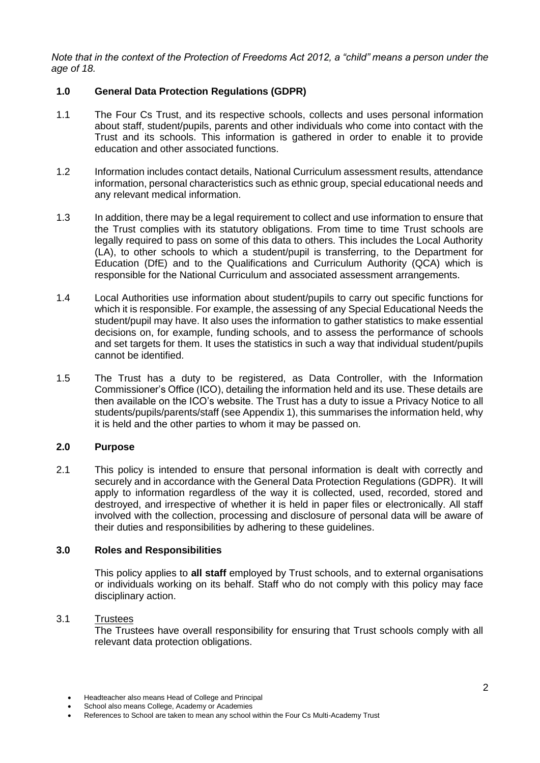*Note that in the context of the Protection of Freedoms Act 2012, a "child" means a person under the age of 18.*

#### **1.0 General Data Protection Regulations (GDPR)**

- 1.1 The Four Cs Trust, and its respective schools, collects and uses personal information about staff, student/pupils, parents and other individuals who come into contact with the Trust and its schools. This information is gathered in order to enable it to provide education and other associated functions.
- 1.2 Information includes contact details, National Curriculum assessment results, attendance information, personal characteristics such as ethnic group, special educational needs and any relevant medical information.
- 1.3 In addition, there may be a legal requirement to collect and use information to ensure that the Trust complies with its statutory obligations. From time to time Trust schools are legally required to pass on some of this data to others. This includes the Local Authority (LA), to other schools to which a student/pupil is transferring, to the Department for Education (DfE) and to the Qualifications and Curriculum Authority (QCA) which is responsible for the National Curriculum and associated assessment arrangements.
- 1.4 Local Authorities use information about student/pupils to carry out specific functions for which it is responsible. For example, the assessing of any Special Educational Needs the student/pupil may have. It also uses the information to gather statistics to make essential decisions on, for example, funding schools, and to assess the performance of schools and set targets for them. It uses the statistics in such a way that individual student/pupils cannot be identified.
- 1.5 The Trust has a duty to be registered, as Data Controller, with the Information Commissioner's Office (ICO), detailing the information held and its use. These details are then available on the ICO's website. The Trust has a duty to issue a Privacy Notice to all students/pupils/parents/staff (see Appendix 1), this summarises the information held, why it is held and the other parties to whom it may be passed on.

### **2.0 Purpose**

2.1 This policy is intended to ensure that personal information is dealt with correctly and securely and in accordance with the General Data Protection Regulations (GDPR). It will apply to information regardless of the way it is collected, used, recorded, stored and destroyed, and irrespective of whether it is held in paper files or electronically. All staff involved with the collection, processing and disclosure of personal data will be aware of their duties and responsibilities by adhering to these guidelines.

#### **3.0 Roles and Responsibilities**

This policy applies to **all staff** employed by Trust schools, and to external organisations or individuals working on its behalf. Staff who do not comply with this policy may face disciplinary action.

#### 3.1 Trustees

The Trustees have overall responsibility for ensuring that Trust schools comply with all relevant data protection obligations.

Headteacher also means Head of College and Principal

School also means College, Academy or Academies

References to School are taken to mean any school within the Four Cs Multi-Academy Trust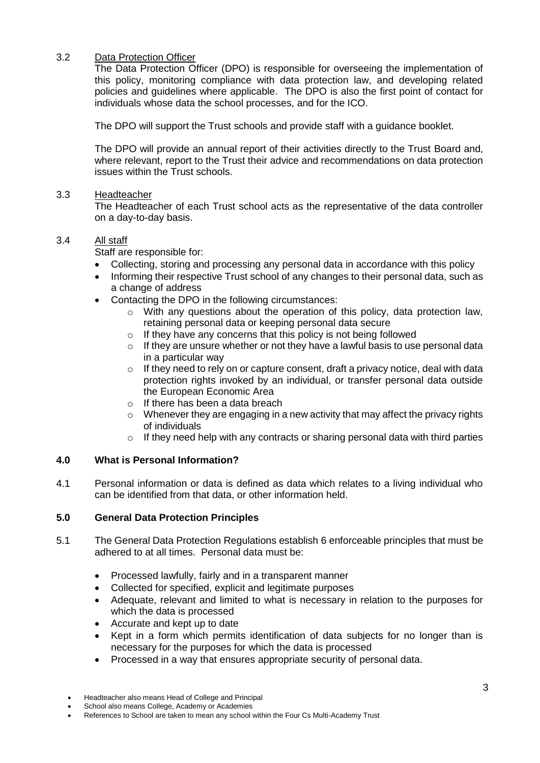### 3.2 Data Protection Officer

The Data Protection Officer (DPO) is responsible for overseeing the implementation of this policy, monitoring compliance with data protection law, and developing related policies and guidelines where applicable. The DPO is also the first point of contact for individuals whose data the school processes, and for the ICO.

The DPO will support the Trust schools and provide staff with a guidance booklet.

The DPO will provide an annual report of their activities directly to the Trust Board and, where relevant, report to the Trust their advice and recommendations on data protection issues within the Trust schools.

#### 3.3 Headteacher

The Headteacher of each Trust school acts as the representative of the data controller on a day-to-day basis.

#### 3.4 All staff

Staff are responsible for:

- Collecting, storing and processing any personal data in accordance with this policy
- Informing their respective Trust school of any changes to their personal data, such as a change of address
- Contacting the DPO in the following circumstances:
	- o With any questions about the operation of this policy, data protection law, retaining personal data or keeping personal data secure
		- $\circ$  If they have any concerns that this policy is not being followed
	- $\circ$  If they are unsure whether or not they have a lawful basis to use personal data in a particular way
	- $\circ$  If they need to rely on or capture consent, draft a privacy notice, deal with data protection rights invoked by an individual, or transfer personal data outside the European Economic Area
	- $\circ$  If there has been a data breach
	- $\circ$  Whenever they are engaging in a new activity that may affect the privacy rights of individuals
	- $\circ$  If they need help with any contracts or sharing personal data with third parties

#### **4.0 What is Personal Information?**

4.1 Personal information or data is defined as data which relates to a living individual who can be identified from that data, or other information held.

#### **5.0 General Data Protection Principles**

- 5.1 The General Data Protection Regulations establish 6 enforceable principles that must be adhered to at all times. Personal data must be:
	- Processed lawfully, fairly and in a transparent manner
	- Collected for specified, explicit and legitimate purposes
	- Adequate, relevant and limited to what is necessary in relation to the purposes for which the data is processed
	- Accurate and kept up to date
	- Kept in a form which permits identification of data subjects for no longer than is necessary for the purposes for which the data is processed
	- Processed in a way that ensures appropriate security of personal data.

Headteacher also means Head of College and Principal

School also means College, Academy or Academies

References to School are taken to mean any school within the Four Cs Multi-Academy Trust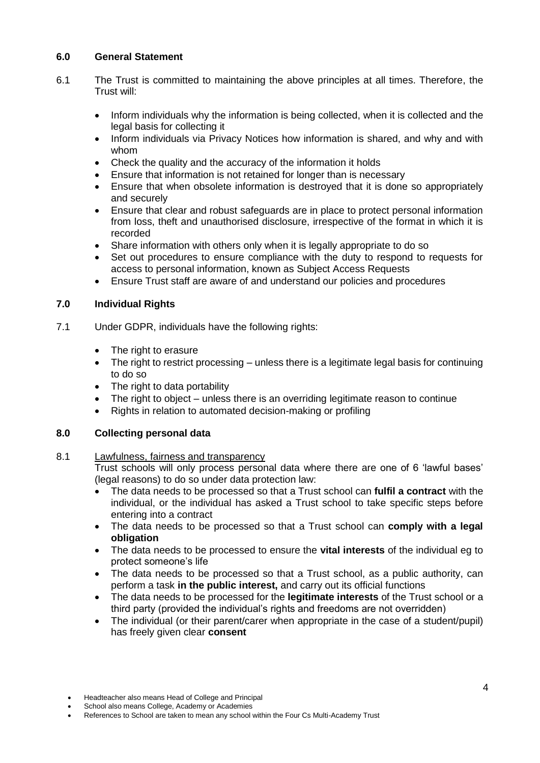### **6.0 General Statement**

- 6.1 The Trust is committed to maintaining the above principles at all times. Therefore, the Trust will:
	- Inform individuals why the information is being collected, when it is collected and the legal basis for collecting it
	- Inform individuals via Privacy Notices how information is shared, and why and with whom
	- Check the quality and the accuracy of the information it holds
	- Ensure that information is not retained for longer than is necessary
	- Ensure that when obsolete information is destroyed that it is done so appropriately and securely
	- Ensure that clear and robust safeguards are in place to protect personal information from loss, theft and unauthorised disclosure, irrespective of the format in which it is recorded
	- Share information with others only when it is legally appropriate to do so
	- Set out procedures to ensure compliance with the duty to respond to requests for access to personal information, known as Subject Access Requests
	- Ensure Trust staff are aware of and understand our policies and procedures

### **7.0 Individual Rights**

- 7.1 Under GDPR, individuals have the following rights:
	- The right to erasure
	- The right to restrict processing unless there is a legitimate legal basis for continuing to do so
	- The right to data portability
	- The right to object unless there is an overriding legitimate reason to continue
	- Rights in relation to automated decision-making or profiling

#### **8.0 Collecting personal data**

#### 8.1 Lawfulness, fairness and transparency

Trust schools will only process personal data where there are one of 6 'lawful bases' (legal reasons) to do so under data protection law:

- The data needs to be processed so that a Trust school can **fulfil a contract** with the individual, or the individual has asked a Trust school to take specific steps before entering into a contract
- The data needs to be processed so that a Trust school can **comply with a legal obligation**
- The data needs to be processed to ensure the **vital interests** of the individual eg to protect someone's life
- The data needs to be processed so that a Trust school, as a public authority, can perform a task **in the public interest,** and carry out its official functions
- The data needs to be processed for the **legitimate interests** of the Trust school or a third party (provided the individual's rights and freedoms are not overridden)
- The individual (or their parent/carer when appropriate in the case of a student/pupil) has freely given clear **consent**

Headteacher also means Head of College and Principal

School also means College, Academy or Academies

References to School are taken to mean any school within the Four Cs Multi-Academy Trust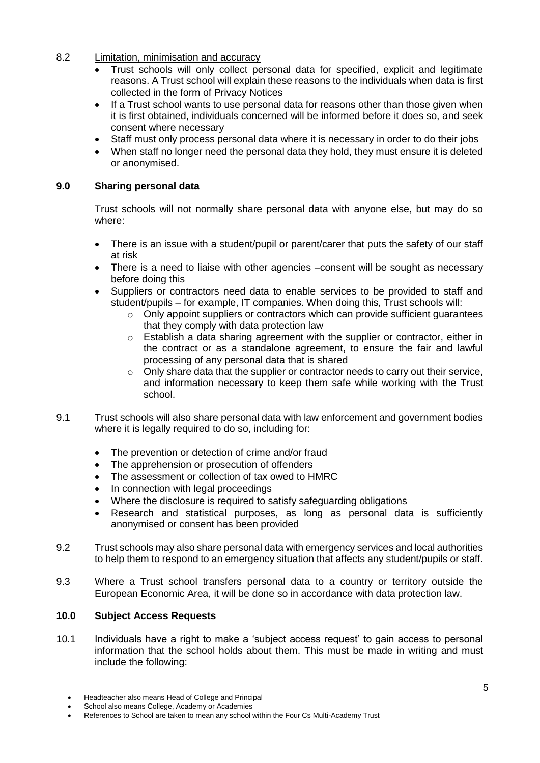- 8.2 Limitation, minimisation and accuracy
	- Trust schools will only collect personal data for specified, explicit and legitimate reasons. A Trust school will explain these reasons to the individuals when data is first collected in the form of Privacy Notices
	- If a Trust school wants to use personal data for reasons other than those given when it is first obtained, individuals concerned will be informed before it does so, and seek consent where necessary
	- Staff must only process personal data where it is necessary in order to do their jobs
	- When staff no longer need the personal data they hold, they must ensure it is deleted or anonymised.

### **9.0 Sharing personal data**

Trust schools will not normally share personal data with anyone else, but may do so where:

- There is an issue with a student/pupil or parent/carer that puts the safety of our staff at risk
- There is a need to liaise with other agencies –consent will be sought as necessary before doing this
- Suppliers or contractors need data to enable services to be provided to staff and student/pupils – for example, IT companies. When doing this, Trust schools will:
	- $\circ$  Only appoint suppliers or contractors which can provide sufficient quarantees that they comply with data protection law
	- $\circ$  Establish a data sharing agreement with the supplier or contractor, either in the contract or as a standalone agreement, to ensure the fair and lawful processing of any personal data that is shared
	- o Only share data that the supplier or contractor needs to carry out their service, and information necessary to keep them safe while working with the Trust school.
- 9.1 Trust schools will also share personal data with law enforcement and government bodies where it is legally required to do so, including for:
	- The prevention or detection of crime and/or fraud
	- The apprehension or prosecution of offenders
	- The assessment or collection of tax owed to HMRC
	- In connection with legal proceedings
	- Where the disclosure is required to satisfy safeguarding obligations
	- Research and statistical purposes, as long as personal data is sufficiently anonymised or consent has been provided
- 9.2 Trust schools may also share personal data with emergency services and local authorities to help them to respond to an emergency situation that affects any student/pupils or staff.
- 9.3 Where a Trust school transfers personal data to a country or territory outside the European Economic Area, it will be done so in accordance with data protection law.

#### **10.0 Subject Access Requests**

10.1 Individuals have a right to make a 'subject access request' to gain access to personal information that the school holds about them. This must be made in writing and must include the following:

References to School are taken to mean any school within the Four Cs Multi-Academy Trust

Headteacher also means Head of College and Principal

School also means College, Academy or Academies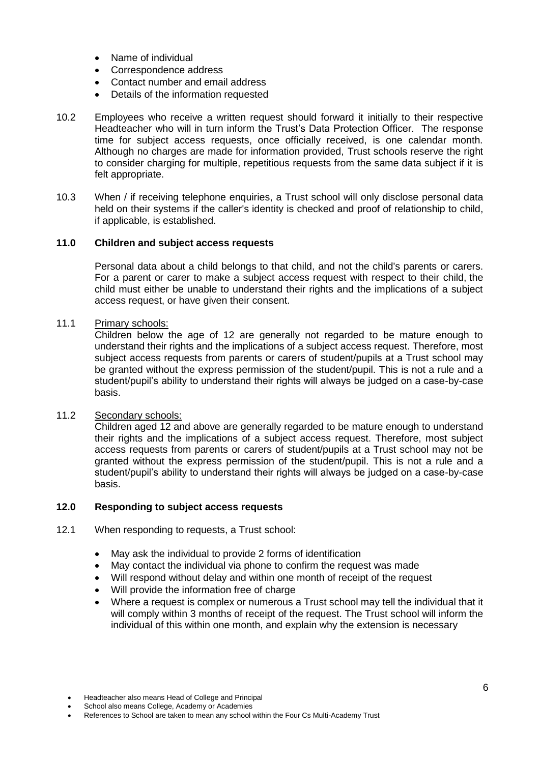- Name of individual
- Correspondence address
- Contact number and email address
- Details of the information requested
- 10.2 Employees who receive a written request should forward it initially to their respective Headteacher who will in turn inform the Trust's Data Protection Officer. The response time for subject access requests, once officially received, is one calendar month. Although no charges are made for information provided, Trust schools reserve the right to consider charging for multiple, repetitious requests from the same data subject if it is felt appropriate.
- 10.3 When / if receiving telephone enquiries, a Trust school will only disclose personal data held on their systems if the caller's identity is checked and proof of relationship to child, if applicable, is established.

#### **11.0 Children and subject access requests**

Personal data about a child belongs to that child, and not the child's parents or carers. For a parent or carer to make a subject access request with respect to their child, the child must either be unable to understand their rights and the implications of a subject access request, or have given their consent.

#### 11.1 Primary schools:

Children below the age of 12 are generally not regarded to be mature enough to understand their rights and the implications of a subject access request. Therefore, most subject access requests from parents or carers of student/pupils at a Trust school may be granted without the express permission of the student/pupil. This is not a rule and a student/pupil's ability to understand their rights will always be judged on a case-by-case basis.

#### 11.2 Secondary schools:

Children aged 12 and above are generally regarded to be mature enough to understand their rights and the implications of a subject access request. Therefore, most subject access requests from parents or carers of student/pupils at a Trust school may not be granted without the express permission of the student/pupil. This is not a rule and a student/pupil's ability to understand their rights will always be judged on a case-by-case basis.

#### **12.0 Responding to subject access requests**

- 12.1 When responding to requests, a Trust school:
	- May ask the individual to provide 2 forms of identification
	- May contact the individual via phone to confirm the request was made
	- Will respond without delay and within one month of receipt of the request
	- Will provide the information free of charge
	- Where a request is complex or numerous a Trust school may tell the individual that it will comply within 3 months of receipt of the request. The Trust school will inform the individual of this within one month, and explain why the extension is necessary

Headteacher also means Head of College and Principal

School also means College, Academy or Academies

References to School are taken to mean any school within the Four Cs Multi-Academy Trust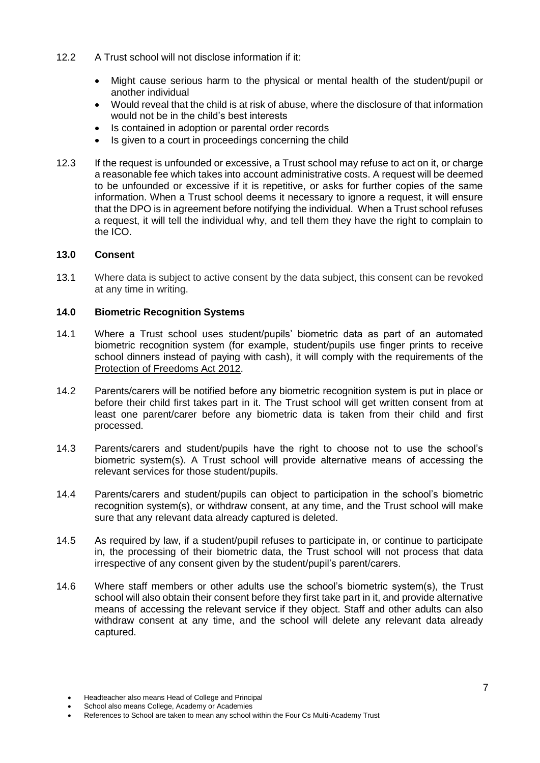- 12.2 A Trust school will not disclose information if it:
	- Might cause serious harm to the physical or mental health of the student/pupil or another individual
	- Would reveal that the child is at risk of abuse, where the disclosure of that information would not be in the child's best interests
	- Is contained in adoption or parental order records
	- Is given to a court in proceedings concerning the child
- 12.3 If the request is unfounded or excessive, a Trust school may refuse to act on it, or charge a reasonable fee which takes into account administrative costs. A request will be deemed to be unfounded or excessive if it is repetitive, or asks for further copies of the same information. When a Trust school deems it necessary to ignore a request, it will ensure that the DPO is in agreement before notifying the individual. When a Trust school refuses a request, it will tell the individual why, and tell them they have the right to complain to the ICO.

#### **13.0 Consent**

13.1 Where data is subject to active consent by the data subject, this consent can be revoked at any time in writing.

#### **14.0 Biometric Recognition Systems**

- 14.1 Where a Trust school uses student/pupils' biometric data as part of an automated biometric recognition system (for example, student/pupils use finger prints to receive school dinners instead of paying with cash), it will comply with the requirements of the [Protection of Freedoms Act 2012.](https://www.legislation.gov.uk/ukpga/2012/9/section/26)
- 14.2 Parents/carers will be notified before any biometric recognition system is put in place or before their child first takes part in it. The Trust school will get written consent from at least one parent/carer before any biometric data is taken from their child and first processed.
- 14.3 Parents/carers and student/pupils have the right to choose not to use the school's biometric system(s). A Trust school will provide alternative means of accessing the relevant services for those student/pupils.
- 14.4 Parents/carers and student/pupils can object to participation in the school's biometric recognition system(s), or withdraw consent, at any time, and the Trust school will make sure that any relevant data already captured is deleted.
- 14.5 As required by law, if a student/pupil refuses to participate in, or continue to participate in, the processing of their biometric data, the Trust school will not process that data irrespective of any consent given by the student/pupil's parent/carers.
- 14.6 Where staff members or other adults use the school's biometric system(s), the Trust school will also obtain their consent before they first take part in it, and provide alternative means of accessing the relevant service if they object. Staff and other adults can also withdraw consent at any time, and the school will delete any relevant data already captured.

Headteacher also means Head of College and Principal

School also means College, Academy or Academies

References to School are taken to mean any school within the Four Cs Multi-Academy Trust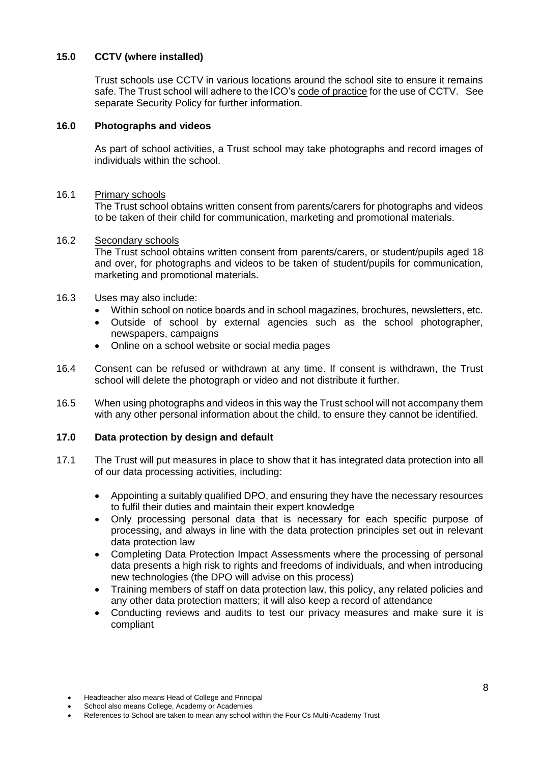### **15.0 CCTV (where installed)**

Trust schools use CCTV in various locations around the school site to ensure it remains safe. The Trust school will adhere to the ICO's [code of practice](https://ico.org.uk/media/for-organisations/documents/1542/cctv-code-of-practice.pdf) for the use of CCTV. See separate Security Policy for further information.

#### **16.0 Photographs and videos**

As part of school activities, a Trust school may take photographs and record images of individuals within the school.

#### 16.1 Primary schools

The Trust school obtains written consent from parents/carers for photographs and videos to be taken of their child for communication, marketing and promotional materials.

#### 16.2 Secondary schools

The Trust school obtains written consent from parents/carers, or student/pupils aged 18 and over, for photographs and videos to be taken of student/pupils for communication, marketing and promotional materials.

#### 16.3 Uses may also include:

- Within school on notice boards and in school magazines, brochures, newsletters, etc.
- Outside of school by external agencies such as the school photographer, newspapers, campaigns
- Online on a school website or social media pages
- 16.4 Consent can be refused or withdrawn at any time. If consent is withdrawn, the Trust school will delete the photograph or video and not distribute it further.
- 16.5 When using photographs and videos in this way the Trust school will not accompany them with any other personal information about the child, to ensure they cannot be identified.

#### **17.0 Data protection by design and default**

- 17.1 The Trust will put measures in place to show that it has integrated data protection into all of our data processing activities, including:
	- Appointing a suitably qualified DPO, and ensuring they have the necessary resources to fulfil their duties and maintain their expert knowledge
	- Only processing personal data that is necessary for each specific purpose of processing, and always in line with the data protection principles set out in relevant data protection law
	- Completing Data Protection Impact Assessments where the processing of personal data presents a high risk to rights and freedoms of individuals, and when introducing new technologies (the DPO will advise on this process)
	- Training members of staff on data protection law, this policy, any related policies and any other data protection matters; it will also keep a record of attendance
	- Conducting reviews and audits to test our privacy measures and make sure it is compliant

Headteacher also means Head of College and Principal

School also means College, Academy or Academies

References to School are taken to mean any school within the Four Cs Multi-Academy Trust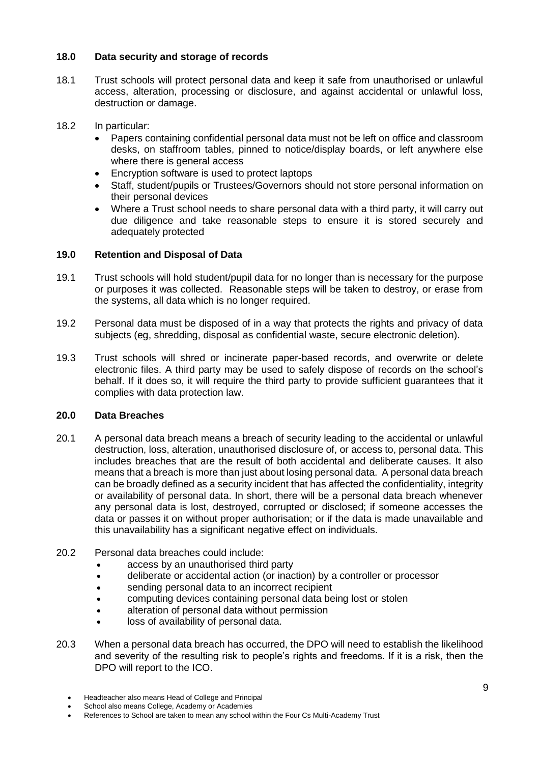#### **18.0 Data security and storage of records**

- 18.1 Trust schools will protect personal data and keep it safe from unauthorised or unlawful access, alteration, processing or disclosure, and against accidental or unlawful loss, destruction or damage.
- 18.2 In particular:
	- Papers containing confidential personal data must not be left on office and classroom desks, on staffroom tables, pinned to notice/display boards, or left anywhere else where there is general access
	- Encryption software is used to protect laptops
	- Staff, student/pupils or Trustees/Governors should not store personal information on their personal devices
	- Where a Trust school needs to share personal data with a third party, it will carry out due diligence and take reasonable steps to ensure it is stored securely and adequately protected

### **19.0 Retention and Disposal of Data**

- 19.1 Trust schools will hold student/pupil data for no longer than is necessary for the purpose or purposes it was collected. Reasonable steps will be taken to destroy, or erase from the systems, all data which is no longer required.
- 19.2 Personal data must be disposed of in a way that protects the rights and privacy of data subjects (eg, shredding, disposal as confidential waste, secure electronic deletion).
- 19.3 Trust schools will shred or incinerate paper-based records, and overwrite or delete electronic files. A third party may be used to safely dispose of records on the school's behalf. If it does so, it will require the third party to provide sufficient guarantees that it complies with data protection law.

#### **20.0 Data Breaches**

- 20.1 A personal data breach means a breach of security leading to the accidental or unlawful destruction, loss, alteration, unauthorised disclosure of, or access to, personal data. This includes breaches that are the result of both accidental and deliberate causes. It also means that a breach is more than just about losing personal data. A personal data breach can be broadly defined as a security incident that has affected the confidentiality, integrity or availability of personal data. In short, there will be a personal data breach whenever any personal data is lost, destroyed, corrupted or disclosed; if someone accesses the data or passes it on without proper authorisation; or if the data is made unavailable and this unavailability has a significant negative effect on individuals.
- 20.2 Personal data breaches could include:
	- access by an unauthorised third party
	- deliberate or accidental action (or inaction) by a controller or processor
	- sending personal data to an incorrect recipient
	- computing devices containing personal data being lost or stolen
	- alteration of personal data without permission
	- loss of availability of personal data.
- 20.3 When a personal data breach has occurred, the DPO will need to establish the likelihood and severity of the resulting risk to people's rights and freedoms. If it is a risk, then the DPO will report to the ICO.
	- Headteacher also means Head of College and Principal
	- School also means College, Academy or Academies
	- References to School are taken to mean any school within the Four Cs Multi-Academy Trust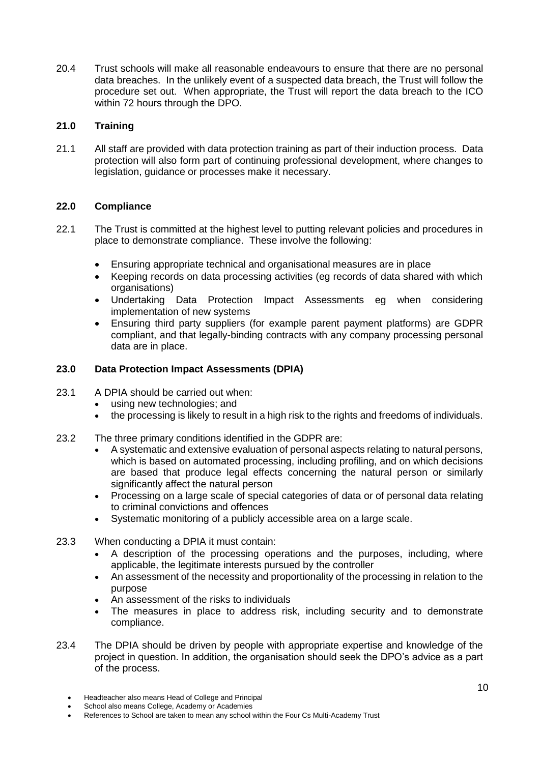20.4 Trust schools will make all reasonable endeavours to ensure that there are no personal data breaches. In the unlikely event of a suspected data breach, the Trust will follow the procedure set out. When appropriate, the Trust will report the data breach to the ICO within 72 hours through the DPO.

#### **21.0 Training**

21.1 All staff are provided with data protection training as part of their induction process. Data protection will also form part of continuing professional development, where changes to legislation, guidance or processes make it necessary.

### **22.0 Compliance**

- 22.1 The Trust is committed at the highest level to putting relevant policies and procedures in place to demonstrate compliance. These involve the following:
	- Ensuring appropriate technical and organisational measures are in place
	- Keeping records on data processing activities (eg records of data shared with which organisations)
	- Undertaking Data Protection Impact Assessments eg when considering implementation of new systems
	- Ensuring third party suppliers (for example parent payment platforms) are GDPR compliant, and that legally-binding contracts with any company processing personal data are in place.

#### **23.0 Data Protection Impact Assessments (DPIA)**

- 23.1 A DPIA should be carried out when:
	- using new technologies; and
	- the processing is likely to result in a high risk to the rights and freedoms of individuals.
- 23.2 The three primary conditions identified in the GDPR are:
	- A systematic and extensive evaluation of personal aspects relating to natural persons, which is based on automated processing, including profiling, and on which decisions are based that produce legal effects concerning the natural person or similarly significantly affect the natural person
	- Processing on a large scale of special categories of data or of personal data relating to criminal convictions and offences
	- Systematic monitoring of a publicly accessible area on a large scale.
- 23.3 When conducting a DPIA it must contain:
	- A description of the processing operations and the purposes, including, where applicable, the legitimate interests pursued by the controller
	- An assessment of the necessity and proportionality of the processing in relation to the purpose
	- An assessment of the risks to individuals
	- The measures in place to address risk, including security and to demonstrate compliance.
- 23.4 The DPIA should be driven by people with appropriate expertise and knowledge of the project in question. In addition, the organisation should seek the DPO's advice as a part of the process.
	- Headteacher also means Head of College and Principal
	- School also means College, Academy or Academies
	- References to School are taken to mean any school within the Four Cs Multi-Academy Trust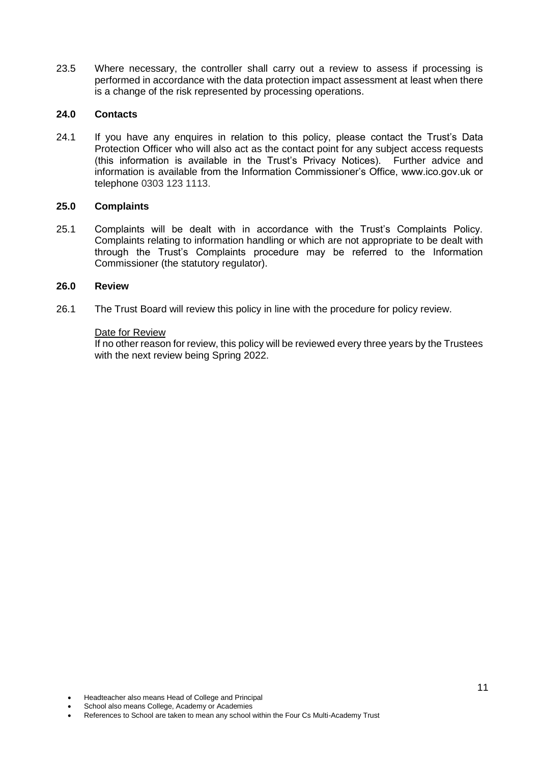23.5 Where necessary, the controller shall carry out a review to assess if processing is performed in accordance with the data protection impact assessment at least when there is a change of the risk represented by processing operations.

#### **24.0 Contacts**

24.1 If you have any enquires in relation to this policy, please contact the Trust's Data Protection Officer who will also act as the contact point for any subject access requests (this information is available in the Trust's Privacy Notices). Further advice and information is available from the Information Commissioner's Office, www.ico.gov.uk or telephone 0303 123 1113.

#### **25.0 Complaints**

25.1 Complaints will be dealt with in accordance with the Trust's Complaints Policy. Complaints relating to information handling or which are not appropriate to be dealt with through the Trust's Complaints procedure may be referred to the Information Commissioner (the statutory regulator).

#### **26.0 Review**

26.1 The Trust Board will review this policy in line with the procedure for policy review.

#### Date for Review

If no other reason for review, this policy will be reviewed every three years by the Trustees with the next review being Spring 2022.

School also means College, Academy or Academies

Headteacher also means Head of College and Principal

References to School are taken to mean any school within the Four Cs Multi-Academy Trust